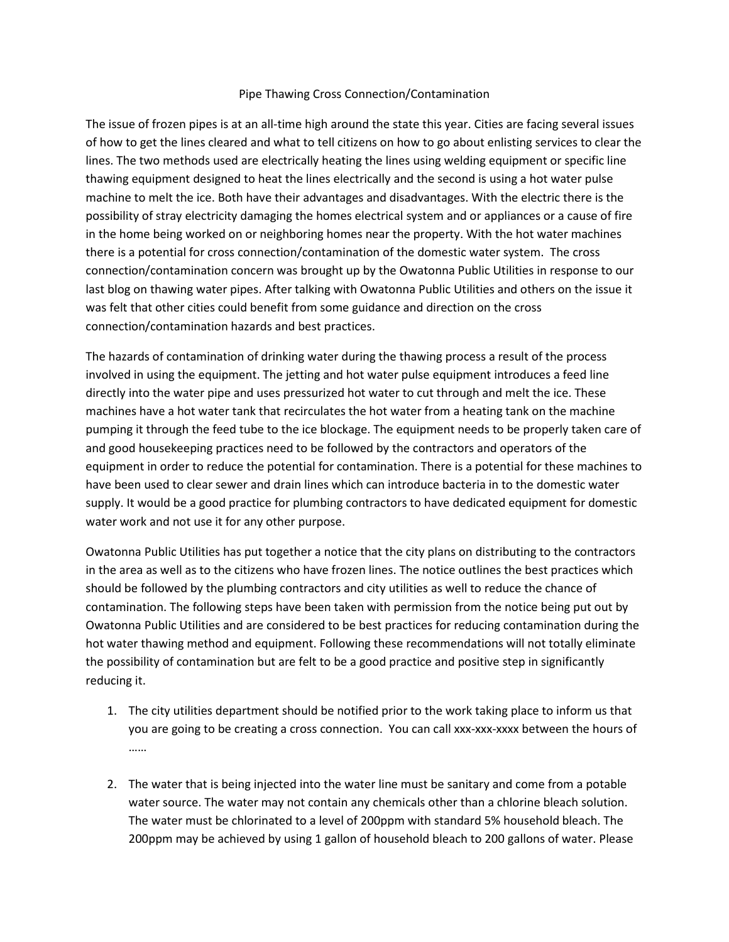## Pipe Thawing Cross Connection/Contamination

The issue of frozen pipes is at an all-time high around the state this year. Cities are facing several issues of how to get the lines cleared and what to tell citizens on how to go about enlisting services to clear the lines. The two methods used are electrically heating the lines using welding equipment or specific line thawing equipment designed to heat the lines electrically and the second is using a hot water pulse machine to melt the ice. Both have their advantages and disadvantages. With the electric there is the possibility of stray electricity damaging the homes electrical system and or appliances or a cause of fire in the home being worked on or neighboring homes near the property. With the hot water machines there is a potential for cross connection/contamination of the domestic water system. The cross connection/contamination concern was brought up by the Owatonna Public Utilities in response to our last blog on thawing water pipes. After talking with Owatonna Public Utilities and others on the issue it was felt that other cities could benefit from some guidance and direction on the cross connection/contamination hazards and best practices.

The hazards of contamination of drinking water during the thawing process a result of the process involved in using the equipment. The jetting and hot water pulse equipment introduces a feed line directly into the water pipe and uses pressurized hot water to cut through and melt the ice. These machines have a hot water tank that recirculates the hot water from a heating tank on the machine pumping it through the feed tube to the ice blockage. The equipment needs to be properly taken care of and good housekeeping practices need to be followed by the contractors and operators of the equipment in order to reduce the potential for contamination. There is a potential for these machines to have been used to clear sewer and drain lines which can introduce bacteria in to the domestic water supply. It would be a good practice for plumbing contractors to have dedicated equipment for domestic water work and not use it for any other purpose.

Owatonna Public Utilities has put together a notice that the city plans on distributing to the contractors in the area as well as to the citizens who have frozen lines. The notice outlines the best practices which should be followed by the plumbing contractors and city utilities as well to reduce the chance of contamination. The following steps have been taken with permission from the notice being put out by Owatonna Public Utilities and are considered to be best practices for reducing contamination during the hot water thawing method and equipment. Following these recommendations will not totally eliminate the possibility of contamination but are felt to be a good practice and positive step in significantly reducing it.

- 1. The city utilities department should be notified prior to the work taking place to inform us that you are going to be creating a cross connection. You can call xxx-xxx-xxxx between the hours of ……
- 2. The water that is being injected into the water line must be sanitary and come from a potable water source. The water may not contain any chemicals other than a chlorine bleach solution. The water must be chlorinated to a level of 200ppm with standard 5% household bleach. The 200ppm may be achieved by using 1 gallon of household bleach to 200 gallons of water. Please